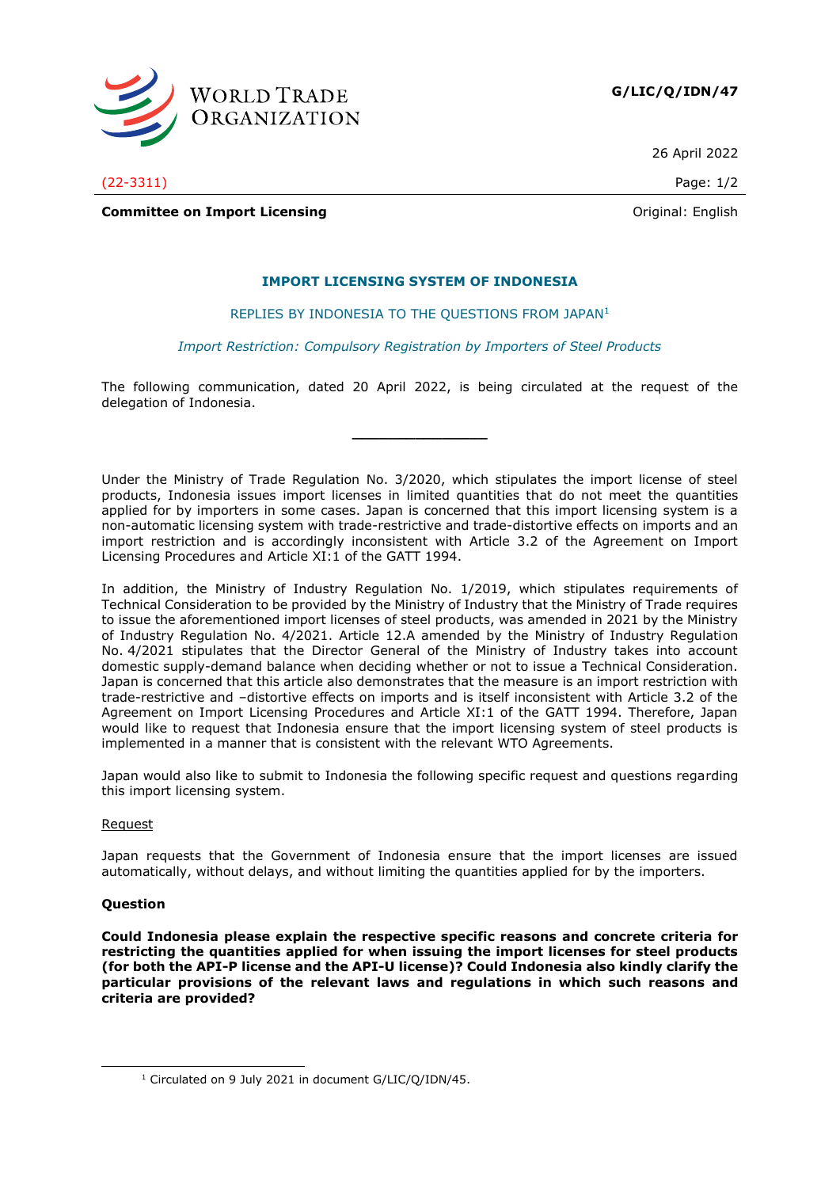

**G/LIC/Q/IDN/47**

26 April 2022

(22-3311) Page: 1/2

**Committee on Import Licensing Committee on Import Licensing Committee on Import Licensing** 

# **IMPORT LICENSING SYSTEM OF INDONESIA**

## REPLIES BY INDONESIA TO THE QUESTIONS FROM JAPAN<sup>1</sup>

#### *Import Restriction: Compulsory Registration by Importers of Steel Products*

The following communication, dated 20 April 2022, is being circulated at the request of the delegation of Indonesia.

**\_\_\_\_\_\_\_\_\_\_\_\_\_\_\_**

Under the Ministry of Trade Regulation No. 3/2020, which stipulates the import license of steel products, Indonesia issues import licenses in limited quantities that do not meet the quantities applied for by importers in some cases. Japan is concerned that this import licensing system is a non-automatic licensing system with trade-restrictive and trade-distortive effects on imports and an import restriction and is accordingly inconsistent with Article 3.2 of the Agreement on Import Licensing Procedures and Article XI:1 of the GATT 1994.

In addition, the Ministry of Industry Regulation No. 1/2019, which stipulates requirements of Technical Consideration to be provided by the Ministry of Industry that the Ministry of Trade requires to issue the aforementioned import licenses of steel products, was amended in 2021 by the Ministry of Industry Regulation No. 4/2021. Article 12.A amended by the Ministry of Industry Regulation No. 4/2021 stipulates that the Director General of the Ministry of Industry takes into account domestic supply-demand balance when deciding whether or not to issue a Technical Consideration. Japan is concerned that this article also demonstrates that the measure is an import restriction with trade-restrictive and –distortive effects on imports and is itself inconsistent with Article 3.2 of the Agreement on Import Licensing Procedures and Article XI:1 of the GATT 1994. Therefore, Japan would like to request that Indonesia ensure that the import licensing system of steel products is implemented in a manner that is consistent with the relevant WTO Agreements.

Japan would also like to submit to Indonesia the following specific request and questions regarding this import licensing system.

## Request

Japan requests that the Government of Indonesia ensure that the import licenses are issued automatically, without delays, and without limiting the quantities applied for by the importers.

## **Question**

**Could Indonesia please explain the respective specific reasons and concrete criteria for restricting the quantities applied for when issuing the import licenses for steel products (for both the API-P license and the API-U license)? Could Indonesia also kindly clarify the particular provisions of the relevant laws and regulations in which such reasons and criteria are provided?** 

<sup>&</sup>lt;sup>1</sup> Circulated on 9 July 2021 in document G/LIC/Q/IDN/45.